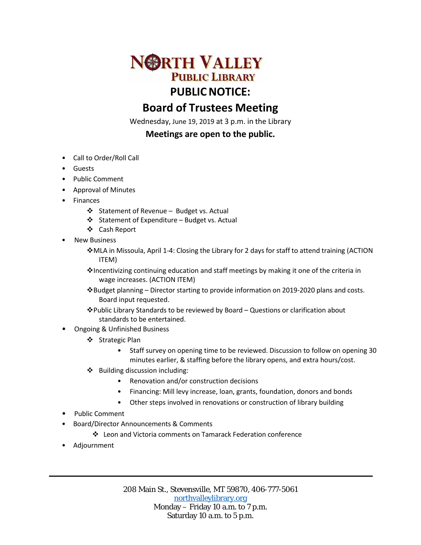

## **Board of Trustees Meeting**

Wednesday, June 19, 2019 at 3 p.m. in the Library

## **Meetings are open to the public.**

- Call to Order/Roll Call
- Guests
- Public Comment
- Approval of Minutes
- Finances
	- ❖ Statement of Revenue Budget vs. Actual
	- $\div$  Statement of Expenditure Budget vs. Actual
	- Cash Report
- **New Business** 
	- MLA in Missoula, April 1-4: Closing the Library for 2 days for staff to attend training (ACTION ITEM)
	- $\cdot$  Incentivizing continuing education and staff meetings by making it one of the criteria in wage increases. (ACTION ITEM)
	- Budget planning Director starting to provide information on 2019-2020 plans and costs. Board input requested.
	- Public Library Standards to be reviewed by Board Questions or clarification about standards to be entertained.
- Ongoing & Unfinished Business
	- ❖ Strategic Plan
		- Staff survey on opening time to be reviewed. Discussion to follow on opening 30 minutes earlier, & staffing before the library opens, and extra hours/cost.
	- Building discussion including:
		- Renovation and/or construction decisions
		- Financing: Mill levy increase, loan, grants, foundation, donors and bonds
		- Other steps involved in renovations or construction of library building
- Public Comment
- Board/Director Announcements & Comments
	- Leon and Victoria comments on Tamarack Federation conference
- Adjournment

208 Main St., Stevensville, MT 59870, 406-777-5061 [northvalleylibrary.org](http://www.northvalleylibrary.org/) Monday – Friday 10 a.m. to 7 p.m. Saturday 10 a.m. to 5 p.m.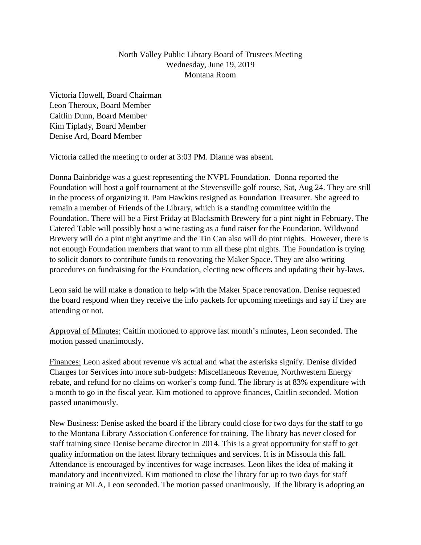## North Valley Public Library Board of Trustees Meeting Wednesday, June 19, 2019 Montana Room

Victoria Howell, Board Chairman Leon Theroux, Board Member Caitlin Dunn, Board Member Kim Tiplady, Board Member Denise Ard, Board Member

Victoria called the meeting to order at 3:03 PM. Dianne was absent.

Donna Bainbridge was a guest representing the NVPL Foundation. Donna reported the Foundation will host a golf tournament at the Stevensville golf course, Sat, Aug 24. They are still in the process of organizing it. Pam Hawkins resigned as Foundation Treasurer. She agreed to remain a member of Friends of the Library, which is a standing committee within the Foundation. There will be a First Friday at Blacksmith Brewery for a pint night in February. The Catered Table will possibly host a wine tasting as a fund raiser for the Foundation. Wildwood Brewery will do a pint night anytime and the Tin Can also will do pint nights. However, there is not enough Foundation members that want to run all these pint nights. The Foundation is trying to solicit donors to contribute funds to renovating the Maker Space. They are also writing procedures on fundraising for the Foundation, electing new officers and updating their by-laws.

Leon said he will make a donation to help with the Maker Space renovation. Denise requested the board respond when they receive the info packets for upcoming meetings and say if they are attending or not.

Approval of Minutes: Caitlin motioned to approve last month's minutes, Leon seconded. The motion passed unanimously.

Finances: Leon asked about revenue v/s actual and what the asterisks signify. Denise divided Charges for Services into more sub-budgets: Miscellaneous Revenue, Northwestern Energy rebate, and refund for no claims on worker's comp fund. The library is at 83% expenditure with a month to go in the fiscal year. Kim motioned to approve finances, Caitlin seconded. Motion passed unanimously.

New Business: Denise asked the board if the library could close for two days for the staff to go to the Montana Library Association Conference for training. The library has never closed for staff training since Denise became director in 2014. This is a great opportunity for staff to get quality information on the latest library techniques and services. It is in Missoula this fall. Attendance is encouraged by incentives for wage increases. Leon likes the idea of making it mandatory and incentivized. Kim motioned to close the library for up to two days for staff training at MLA, Leon seconded. The motion passed unanimously. If the library is adopting an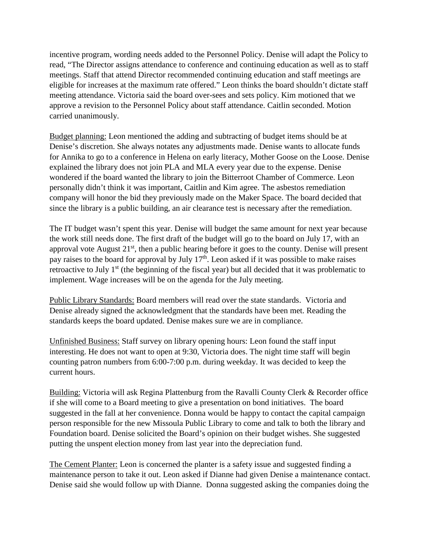incentive program, wording needs added to the Personnel Policy. Denise will adapt the Policy to read, "The Director assigns attendance to conference and continuing education as well as to staff meetings. Staff that attend Director recommended continuing education and staff meetings are eligible for increases at the maximum rate offered." Leon thinks the board shouldn't dictate staff meeting attendance. Victoria said the board over-sees and sets policy. Kim motioned that we approve a revision to the Personnel Policy about staff attendance. Caitlin seconded. Motion carried unanimously.

Budget planning: Leon mentioned the adding and subtracting of budget items should be at Denise's discretion. She always notates any adjustments made. Denise wants to allocate funds for Annika to go to a conference in Helena on early literacy, Mother Goose on the Loose. Denise explained the library does not join PLA and MLA every year due to the expense. Denise wondered if the board wanted the library to join the Bitterroot Chamber of Commerce. Leon personally didn't think it was important, Caitlin and Kim agree. The asbestos remediation company will honor the bid they previously made on the Maker Space. The board decided that since the library is a public building, an air clearance test is necessary after the remediation.

The IT budget wasn't spent this year. Denise will budget the same amount for next year because the work still needs done. The first draft of the budget will go to the board on July 17, with an approval vote August  $21<sup>st</sup>$ , then a public hearing before it goes to the county. Denise will present pay raises to the board for approval by July  $17<sup>th</sup>$ . Leon asked if it was possible to make raises retroactive to July 1<sup>st</sup> (the beginning of the fiscal year) but all decided that it was problematic to implement. Wage increases will be on the agenda for the July meeting.

Public Library Standards: Board members will read over the state standards. Victoria and Denise already signed the acknowledgment that the standards have been met. Reading the standards keeps the board updated. Denise makes sure we are in compliance.

Unfinished Business: Staff survey on library opening hours: Leon found the staff input interesting. He does not want to open at 9:30, Victoria does. The night time staff will begin counting patron numbers from 6:00-7:00 p.m. during weekday. It was decided to keep the current hours.

Building: Victoria will ask Regina Plattenburg from the Ravalli County Clerk & Recorder office if she will come to a Board meeting to give a presentation on bond initiatives. The board suggested in the fall at her convenience. Donna would be happy to contact the capital campaign person responsible for the new Missoula Public Library to come and talk to both the library and Foundation board. Denise solicited the Board's opinion on their budget wishes. She suggested putting the unspent election money from last year into the depreciation fund.

The Cement Planter: Leon is concerned the planter is a safety issue and suggested finding a maintenance person to take it out. Leon asked if Dianne had given Denise a maintenance contact. Denise said she would follow up with Dianne. Donna suggested asking the companies doing the